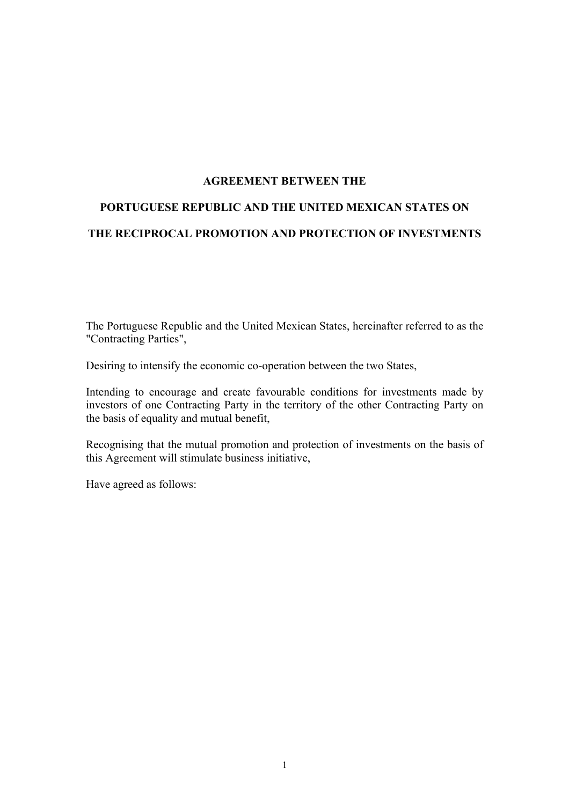## **AGREEMENT BETWEEN THE**

# **PORTUGUESE REPUBLIC AND THE UNITED MEXICAN STATES ON THE RECIPROCAL PROMOTION AND PROTECTION OF INVESTMENTS**

The Portuguese Republic and the United Mexican States, hereinafter referred to as the "Contracting Parties",

Desiring to intensify the economic co-operation between the two States,

Intending to encourage and create favourable conditions for investments made by investors of one Contracting Party in the territory of the other Contracting Party on the basis of equality and mutual benefit,

Recognising that the mutual promotion and protection of investments on the basis of this Agreement will stimulate business initiative,

Have agreed as follows: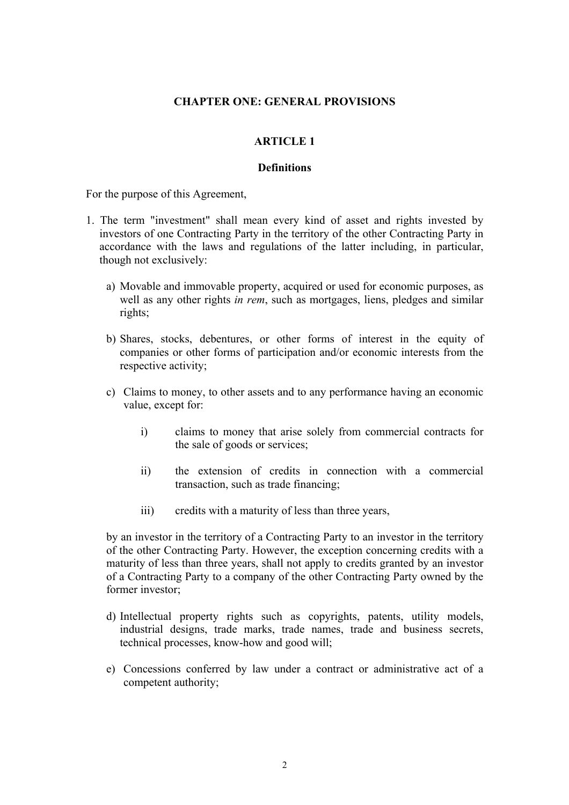## **CHAPTER ONE: GENERAL PROVISIONS**

## **ARTICLE 1**

## **Definitions**

For the purpose of this Agreement,

- 1. The term "investment" shall mean every kind of asset and rights invested by investors of one Contracting Party in the territory of the other Contracting Party in accordance with the laws and regulations of the latter including, in particular, though not exclusively:
	- a) Movable and immovable property, acquired or used for economic purposes, as well as any other rights *in rem*, such as mortgages, liens, pledges and similar rights;
	- b) Shares, stocks, debentures, or other forms of interest in the equity of companies or other forms of participation and/or economic interests from the respective activity;
	- c) Claims to money, to other assets and to any performance having an economic value, except for:
		- i) claims to money that arise solely from commercial contracts for the sale of goods or services;
		- ii) the extension of credits in connection with a commercial transaction, such as trade financing;
		- iii) credits with a maturity of less than three years,

by an investor in the territory of a Contracting Party to an investor in the territory of the other Contracting Party. However, the exception concerning credits with a maturity of less than three years, shall not apply to credits granted by an investor of a Contracting Party to a company of the other Contracting Party owned by the former investor;

- d) Intellectual property rights such as copyrights, patents, utility models, industrial designs, trade marks, trade names, trade and business secrets, technical processes, know-how and good will;
- e) Concessions conferred by law under a contract or administrative act of a competent authority;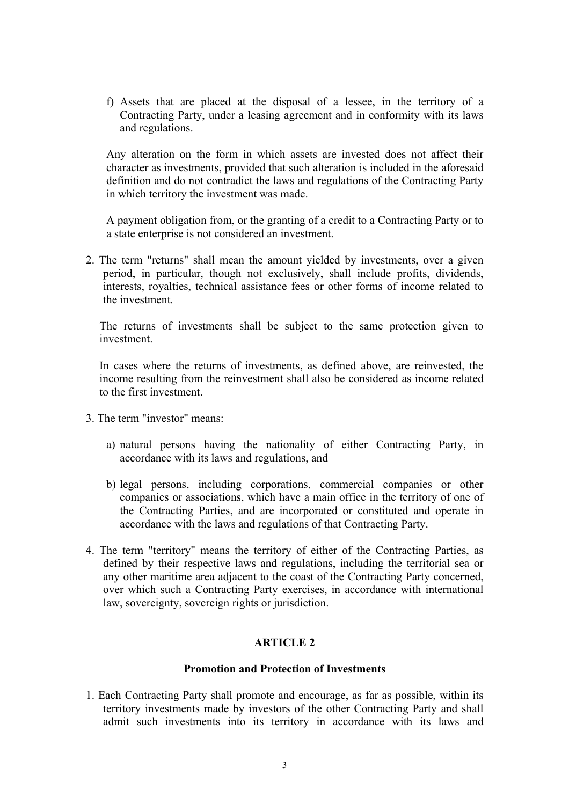f) Assets that are placed at the disposal of a lessee, in the territory of a Contracting Party, under a leasing agreement and in conformity with its laws and regulations.

Any alteration on the form in which assets are invested does not affect their character as investments, provided that such alteration is included in the aforesaid definition and do not contradict the laws and regulations of the Contracting Party in which territory the investment was made.

A payment obligation from, or the granting of a credit to a Contracting Party or to a state enterprise is not considered an investment.

2. The term "returns" shall mean the amount yielded by investments, over a given period, in particular, though not exclusively, shall include profits, dividends, interests, royalties, technical assistance fees or other forms of income related to the investment.

The returns of investments shall be subject to the same protection given to investment.

In cases where the returns of investments, as defined above, are reinvested, the income resulting from the reinvestment shall also be considered as income related to the first investment.

- 3. The term "investor" means:
	- a) natural persons having the nationality of either Contracting Party, in accordance with its laws and regulations, and
	- b) legal persons, including corporations, commercial companies or other companies or associations, which have a main office in the territory of one of the Contracting Parties, and are incorporated or constituted and operate in accordance with the laws and regulations of that Contracting Party.
- 4. The term "territory" means the territory of either of the Contracting Parties, as defined by their respective laws and regulations, including the territorial sea or any other maritime area adjacent to the coast of the Contracting Party concerned, over which such a Contracting Party exercises, in accordance with international law, sovereignty, sovereign rights or jurisdiction.

# **ARTICLE 2**

## **Promotion and Protection of Investments**

1. Each Contracting Party shall promote and encourage, as far as possible, within its territory investments made by investors of the other Contracting Party and shall admit such investments into its territory in accordance with its laws and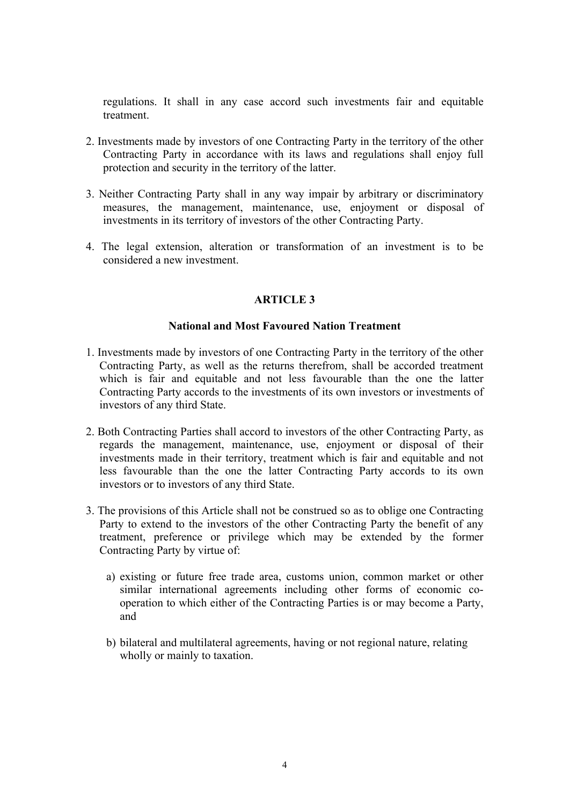regulations. It shall in any case accord such investments fair and equitable treatment.

- 2. Investments made by investors of one Contracting Party in the territory of the other Contracting Party in accordance with its laws and regulations shall enjoy full protection and security in the territory of the latter.
- 3. Neither Contracting Party shall in any way impair by arbitrary or discriminatory measures, the management, maintenance, use, enjoyment or disposal of investments in its territory of investors of the other Contracting Party.
- 4. The legal extension, alteration or transformation of an investment is to be considered a new investment.

# **ARTICLE 3**

## **National and Most Favoured Nation Treatment**

- 1. Investments made by investors of one Contracting Party in the territory of the other Contracting Party, as well as the returns therefrom, shall be accorded treatment which is fair and equitable and not less favourable than the one the latter Contracting Party accords to the investments of its own investors or investments of investors of any third State.
- 2. Both Contracting Parties shall accord to investors of the other Contracting Party, as regards the management, maintenance, use, enjoyment or disposal of their investments made in their territory, treatment which is fair and equitable and not less favourable than the one the latter Contracting Party accords to its own investors or to investors of any third State.
- 3. The provisions of this Article shall not be construed so as to oblige one Contracting Party to extend to the investors of the other Contracting Party the benefit of any treatment, preference or privilege which may be extended by the former Contracting Party by virtue of:
	- a) existing or future free trade area, customs union, common market or other similar international agreements including other forms of economic cooperation to which either of the Contracting Parties is or may become a Party, and
	- b) bilateral and multilateral agreements, having or not regional nature, relating wholly or mainly to taxation.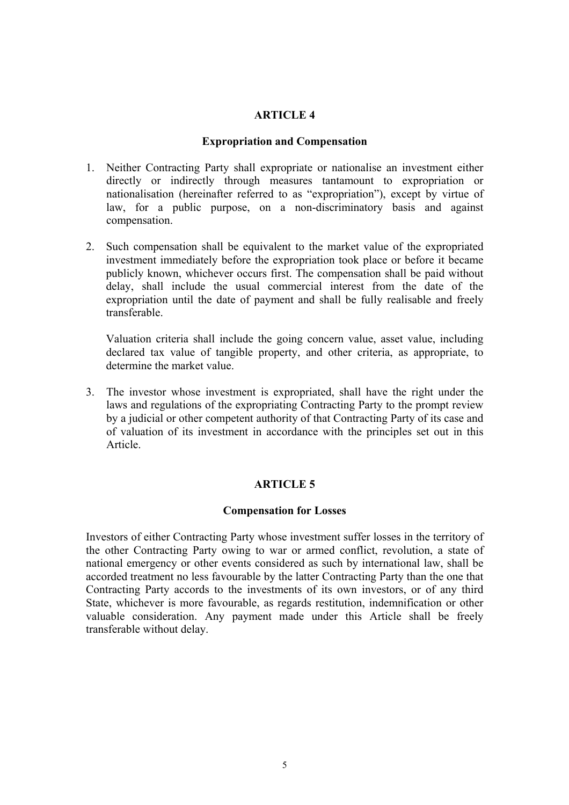## **Expropriation and Compensation**

- 1. Neither Contracting Party shall expropriate or nationalise an investment either directly or indirectly through measures tantamount to expropriation or nationalisation (hereinafter referred to as "expropriation"), except by virtue of law, for a public purpose, on a non-discriminatory basis and against compensation.
- 2. Such compensation shall be equivalent to the market value of the expropriated investment immediately before the expropriation took place or before it became publicly known, whichever occurs first. The compensation shall be paid without delay, shall include the usual commercial interest from the date of the expropriation until the date of payment and shall be fully realisable and freely transferable.

Valuation criteria shall include the going concern value, asset value, including declared tax value of tangible property, and other criteria, as appropriate, to determine the market value.

3. The investor whose investment is expropriated, shall have the right under the laws and regulations of the expropriating Contracting Party to the prompt review by a judicial or other competent authority of that Contracting Party of its case and of valuation of its investment in accordance with the principles set out in this Article.

# **ARTICLE 5**

## **Compensation for Losses**

Investors of either Contracting Party whose investment suffer losses in the territory of the other Contracting Party owing to war or armed conflict, revolution, a state of national emergency or other events considered as such by international law, shall be accorded treatment no less favourable by the latter Contracting Party than the one that Contracting Party accords to the investments of its own investors, or of any third State, whichever is more favourable, as regards restitution, indemnification or other valuable consideration. Any payment made under this Article shall be freely transferable without delay.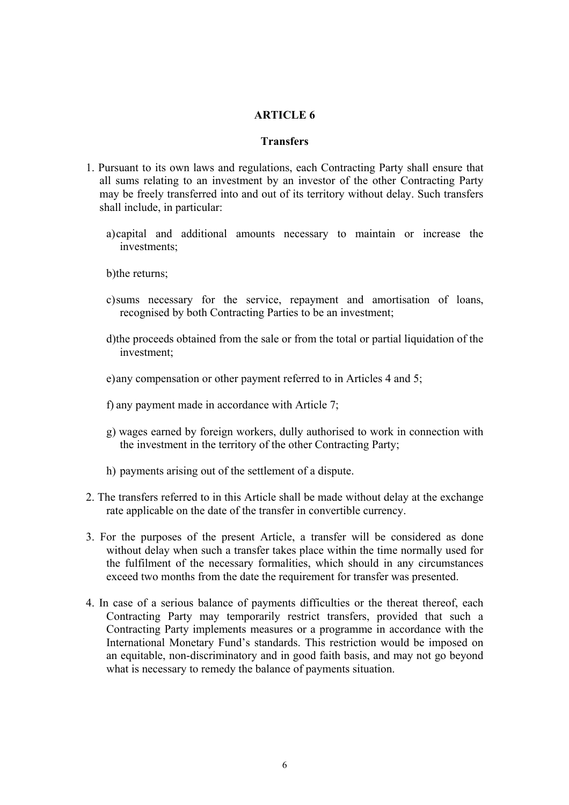## **Transfers**

- 1. Pursuant to its own laws and regulations, each Contracting Party shall ensure that all sums relating to an investment by an investor of the other Contracting Party may be freely transferred into and out of its territory without delay. Such transfers shall include, in particular:
	- a) capital and additional amounts necessary to maintain or increase the investments;

b) the returns:

- c) sums necessary for the service, repayment and amortisation of loans, recognised by both Contracting Parties to be an investment;
- d) the proceeds obtained from the sale or from the total or partial liquidation of the investment;
- e) any compensation or other payment referred to in Articles 4 and 5;
- f) any payment made in accordance with Article 7;
- g) wages earned by foreign workers, dully authorised to work in connection with the investment in the territory of the other Contracting Party;
- h) payments arising out of the settlement of a dispute.
- 2. The transfers referred to in this Article shall be made without delay at the exchange rate applicable on the date of the transfer in convertible currency.
- 3. For the purposes of the present Article, a transfer will be considered as done without delay when such a transfer takes place within the time normally used for the fulfilment of the necessary formalities, which should in any circumstances exceed two months from the date the requirement for transfer was presented.
- 4. In case of a serious balance of payments difficulties or the thereat thereof, each Contracting Party may temporarily restrict transfers, provided that such a Contracting Party implements measures or a programme in accordance with the International Monetary Fund's standards. This restriction would be imposed on an equitable, non-discriminatory and in good faith basis, and may not go beyond what is necessary to remedy the balance of payments situation.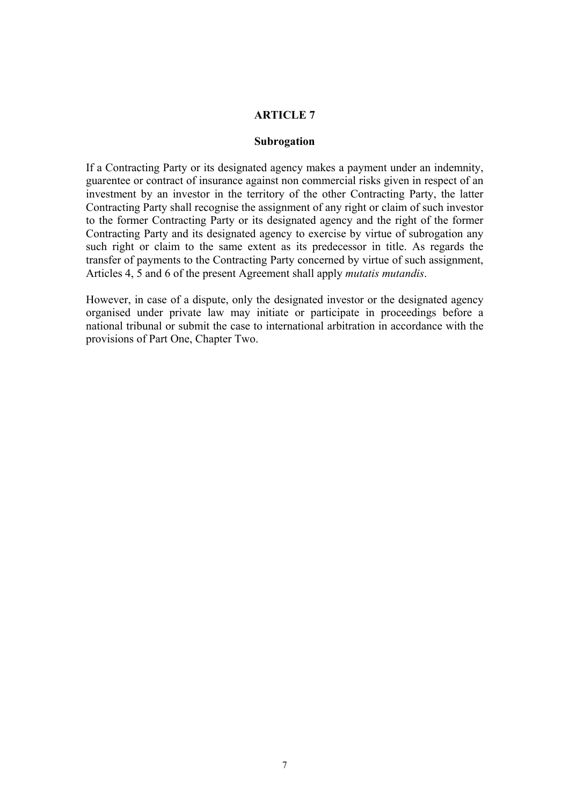#### **Subrogation**

If a Contracting Party or its designated agency makes a payment under an indemnity, guarentee or contract of insurance against non commercial risks given in respect of an investment by an investor in the territory of the other Contracting Party, the latter Contracting Party shall recognise the assignment of any right or claim of such investor to the former Contracting Party or its designated agency and the right of the former Contracting Party and its designated agency to exercise by virtue of subrogation any such right or claim to the same extent as its predecessor in title. As regards the transfer of payments to the Contracting Party concerned by virtue of such assignment, Articles 4, 5 and 6 of the present Agreement shall apply *mutatis mutandis*.

However, in case of a dispute, only the designated investor or the designated agency organised under private law may initiate or participate in proceedings before a national tribunal or submit the case to international arbitration in accordance with the provisions of Part One, Chapter Two.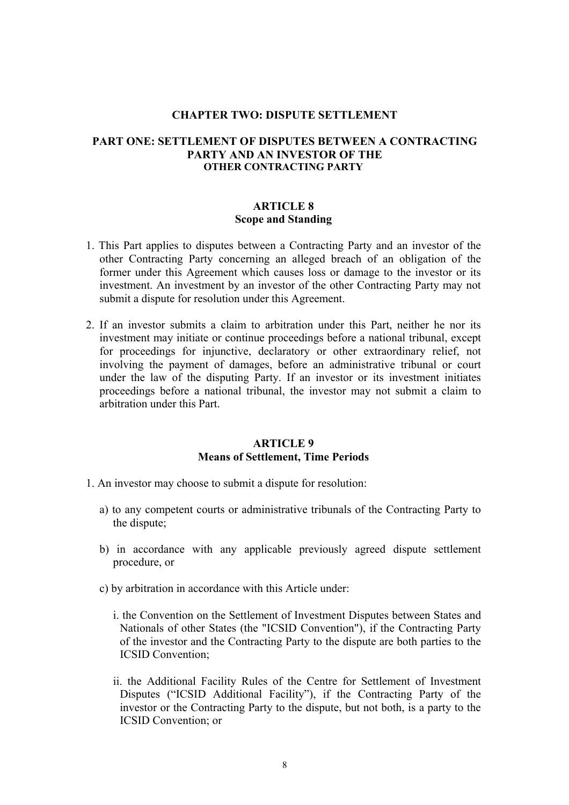#### **CHAPTER TWO: DISPUTE SETTLEMENT**

## **PART ONE: SETTLEMENT OF DISPUTES BETWEEN A CONTRACTING PARTY AND AN INVESTOR OF THE OTHER CONTRACTING PARTY**

## **ARTICLE 8 Scope and Standing**

- 1. This Part applies to disputes between a Contracting Party and an investor of the other Contracting Party concerning an alleged breach of an obligation of the former under this Agreement which causes loss or damage to the investor or its investment. An investment by an investor of the other Contracting Party may not submit a dispute for resolution under this Agreement.
- 2. If an investor submits a claim to arbitration under this Part, neither he nor its investment may initiate or continue proceedings before a national tribunal, except for proceedings for injunctive, declaratory or other extraordinary relief, not involving the payment of damages, before an administrative tribunal or court under the law of the disputing Party. If an investor or its investment initiates proceedings before a national tribunal, the investor may not submit a claim to arbitration under this Part.

## **ARTICLE 9 Means of Settlement, Time Periods**

- 1. An investor may choose to submit a dispute for resolution:
	- a) to any competent courts or administrative tribunals of the Contracting Party to the dispute;
	- b) in accordance with any applicable previously agreed dispute settlement procedure, or
	- c) by arbitration in accordance with this Article under:
		- i. the Convention on the Settlement of Investment Disputes between States and Nationals of other States (the "ICSID Convention"), if the Contracting Party of the investor and the Contracting Party to the dispute are both parties to the ICSID Convention;
		- ii. the Additional Facility Rules of the Centre for Settlement of Investment Disputes ("ICSID Additional Facility"), if the Contracting Party of the investor or the Contracting Party to the dispute, but not both, is a party to the ICSID Convention; or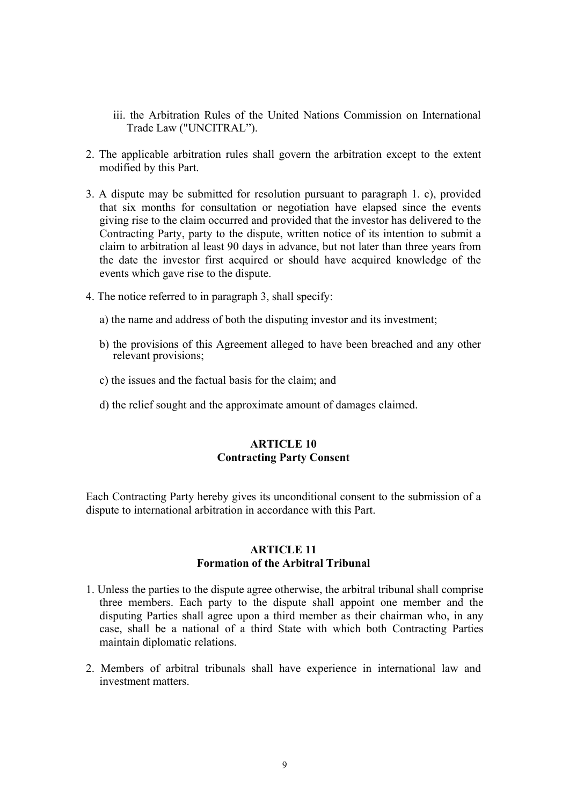- iii. the Arbitration Rules of the United Nations Commission on International Trade Law ("UNCITRAL").
- 2. The applicable arbitration rules shall govern the arbitration except to the extent modified by this Part.
- 3. A dispute may be submitted for resolution pursuant to paragraph 1. c), provided that six months for consultation or negotiation have elapsed since the events giving rise to the claim occurred and provided that the investor has delivered to the Contracting Party, party to the dispute, written notice of its intention to submit a claim to arbitration al least 90 days in advance, but not later than three years from the date the investor first acquired or should have acquired knowledge of the events which gave rise to the dispute.
- 4. The notice referred to in paragraph 3, shall specify:
	- a) the name and address of both the disputing investor and its investment;
	- b) the provisions of this Agreement alleged to have been breached and any other relevant provisions;
	- c) the issues and the factual basis for the claim; and
	- d) the relief sought and the approximate amount of damages claimed.

# **ARTICLE 10 Contracting Party Consent**

Each Contracting Party hereby gives its unconditional consent to the submission of a dispute to international arbitration in accordance with this Part.

# **ARTICLE 11 Formation of the Arbitral Tribunal**

- 1. Unless the parties to the dispute agree otherwise, the arbitral tribunal shall comprise three members. Each party to the dispute shall appoint one member and the disputing Parties shall agree upon a third member as their chairman who, in any case, shall be a national of a third State with which both Contracting Parties maintain diplomatic relations.
- 2. Members of arbitral tribunals shall have experience in international law and investment matters.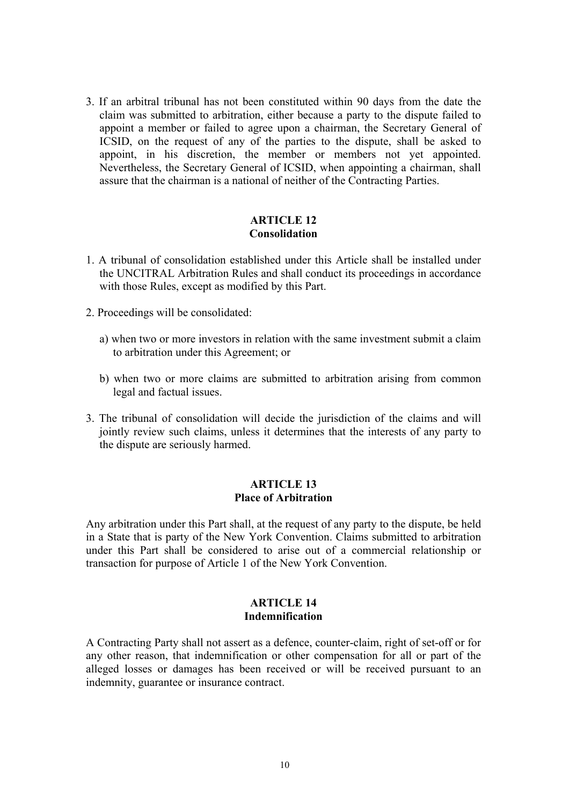3. If an arbitral tribunal has not been constituted within 90 days from the date the claim was submitted to arbitration, either because a party to the dispute failed to appoint a member or failed to agree upon a chairman, the Secretary General of ICSID, on the request of any of the parties to the dispute, shall be asked to appoint, in his discretion, the member or members not yet appointed. Nevertheless, the Secretary General of ICSID, when appointing a chairman, shall assure that the chairman is a national of neither of the Contracting Parties.

#### **ARTICLE 12 Consolidation**

- 1. A tribunal of consolidation established under this Article shall be installed under the UNCITRAL Arbitration Rules and shall conduct its proceedings in accordance with those Rules, except as modified by this Part.
- 2. Proceedings will be consolidated:
	- a) when two or more investors in relation with the same investment submit a claim to arbitration under this Agreement; or
	- b) when two or more claims are submitted to arbitration arising from common legal and factual issues.
- 3. The tribunal of consolidation will decide the jurisdiction of the claims and will jointly review such claims, unless it determines that the interests of any party to the dispute are seriously harmed.

#### **ARTICLE 13 Place of Arbitration**

Any arbitration under this Part shall, at the request of any party to the dispute, be held in a State that is party of the New York Convention. Claims submitted to arbitration under this Part shall be considered to arise out of a commercial relationship or transaction for purpose of Article 1 of the New York Convention.

## **ARTICLE 14 Indemnification**

A Contracting Party shall not assert as a defence, counter-claim, right of set-off or for any other reason, that indemnification or other compensation for all or part of the alleged losses or damages has been received or will be received pursuant to an indemnity, guarantee or insurance contract.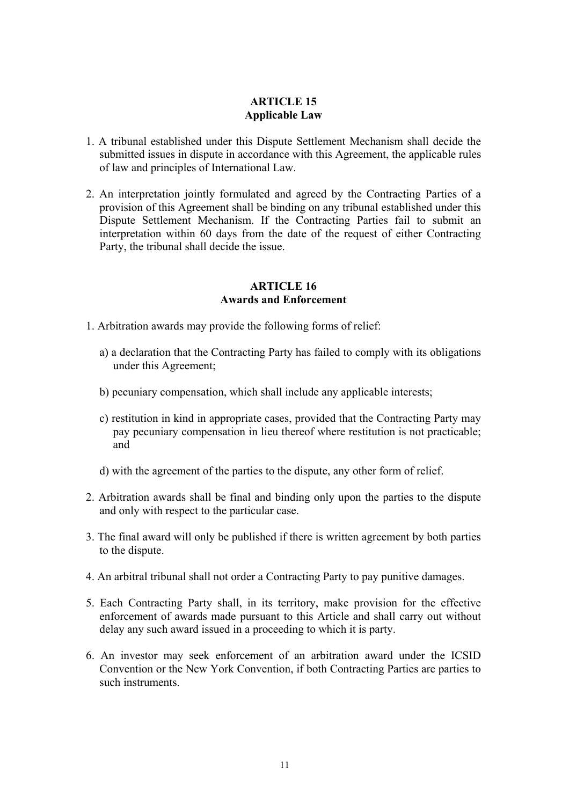# **ARTICLE 15 Applicable Law**

- 1. A tribunal established under this Dispute Settlement Mechanism shall decide the submitted issues in dispute in accordance with this Agreement, the applicable rules of law and principles of International Law.
- 2. An interpretation jointly formulated and agreed by the Contracting Parties of a provision of this Agreement shall be binding on any tribunal established under this Dispute Settlement Mechanism. If the Contracting Parties fail to submit an interpretation within 60 days from the date of the request of either Contracting Party, the tribunal shall decide the issue.

#### **ARTICLE 16 Awards and Enforcement**

- 1. Arbitration awards may provide the following forms of relief:
	- a) a declaration that the Contracting Party has failed to comply with its obligations under this Agreement;
	- b) pecuniary compensation, which shall include any applicable interests;
	- c) restitution in kind in appropriate cases, provided that the Contracting Party may pay pecuniary compensation in lieu thereof where restitution is not practicable; and
	- d) with the agreement of the parties to the dispute, any other form of relief.
- 2. Arbitration awards shall be final and binding only upon the parties to the dispute and only with respect to the particular case.
- 3. The final award will only be published if there is written agreement by both parties to the dispute.
- 4. An arbitral tribunal shall not order a Contracting Party to pay punitive damages.
- 5. Each Contracting Party shall, in its territory, make provision for the effective enforcement of awards made pursuant to this Article and shall carry out without delay any such award issued in a proceeding to which it is party.
- 6. An investor may seek enforcement of an arbitration award under the ICSID Convention or the New York Convention, if both Contracting Parties are parties to such instruments.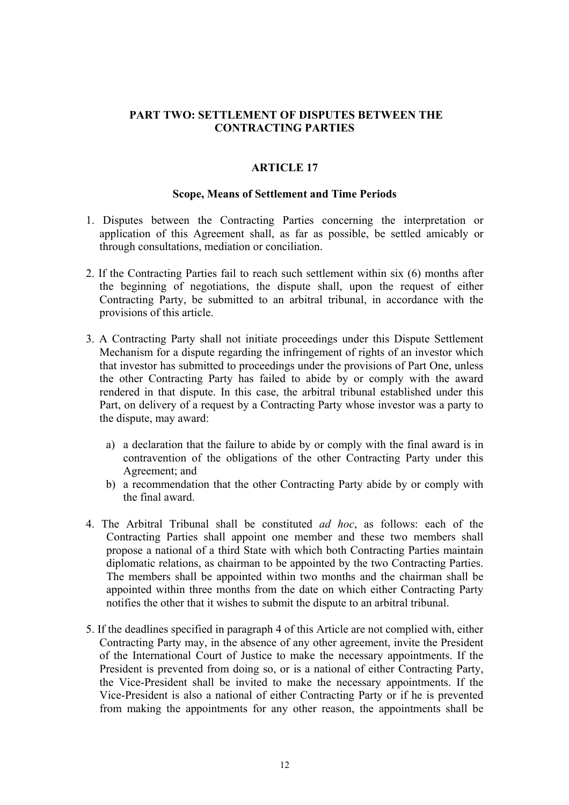# **PART TWO: SETTLEMENT OF DISPUTES BETWEEN THE CONTRACTING PARTIES**

# **ARTICLE 17**

## **Scope, Means of Settlement and Time Periods**

- 1. Disputes between the Contracting Parties concerning the interpretation or application of this Agreement shall, as far as possible, be settled amicably or through consultations, mediation or conciliation.
- 2. If the Contracting Parties fail to reach such settlement within six (6) months after the beginning of negotiations, the dispute shall, upon the request of either Contracting Party, be submitted to an arbitral tribunal, in accordance with the provisions of this article.
- 3. A Contracting Party shall not initiate proceedings under this Dispute Settlement Mechanism for a dispute regarding the infringement of rights of an investor which that investor has submitted to proceedings under the provisions of Part One, unless the other Contracting Party has failed to abide by or comply with the award rendered in that dispute. In this case, the arbitral tribunal established under this Part, on delivery of a request by a Contracting Party whose investor was a party to the dispute, may award:
	- a) a declaration that the failure to abide by or comply with the final award is in contravention of the obligations of the other Contracting Party under this Agreement; and
	- b) a recommendation that the other Contracting Party abide by or comply with the final award.
- 4. The Arbitral Tribunal shall be constituted *ad hoc*, as follows: each of the Contracting Parties shall appoint one member and these two members shall propose a national of a third State with which both Contracting Parties maintain diplomatic relations, as chairman to be appointed by the two Contracting Parties. The members shall be appointed within two months and the chairman shall be appointed within three months from the date on which either Contracting Party notifies the other that it wishes to submit the dispute to an arbitral tribunal.
- 5. If the deadlines specified in paragraph 4 of this Article are not complied with, either Contracting Party may, in the absence of any other agreement, invite the President of the International Court of Justice to make the necessary appointments. If the President is prevented from doing so, or is a national of either Contracting Party, the Vice-President shall be invited to make the necessary appointments. If the Vice-President is also a national of either Contracting Party or if he is prevented from making the appointments for any other reason, the appointments shall be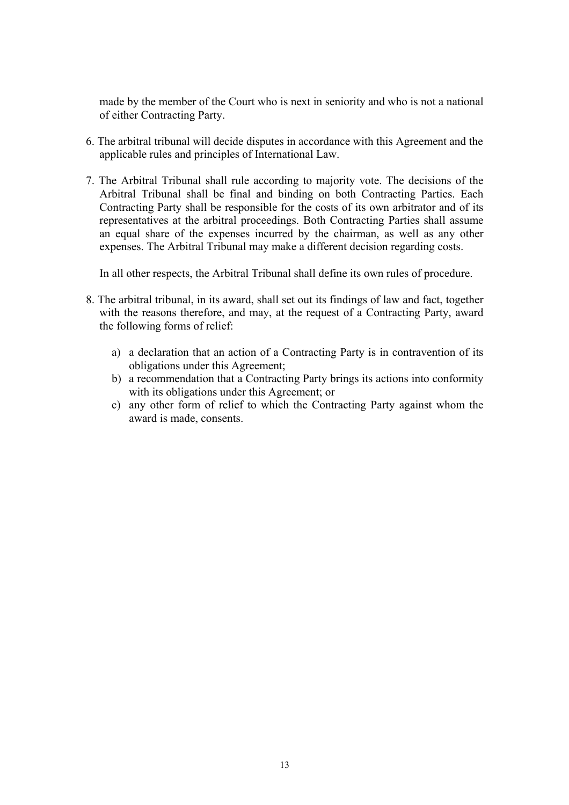made by the member of the Court who is next in seniority and who is not a national of either Contracting Party.

- 6. The arbitral tribunal will decide disputes in accordance with this Agreement and the applicable rules and principles of International Law.
- 7. The Arbitral Tribunal shall rule according to majority vote. The decisions of the Arbitral Tribunal shall be final and binding on both Contracting Parties. Each Contracting Party shall be responsible for the costs of its own arbitrator and of its representatives at the arbitral proceedings. Both Contracting Parties shall assume an equal share of the expenses incurred by the chairman, as well as any other expenses. The Arbitral Tribunal may make a different decision regarding costs.

In all other respects, the Arbitral Tribunal shall define its own rules of procedure.

- 8. The arbitral tribunal, in its award, shall set out its findings of law and fact, together with the reasons therefore, and may, at the request of a Contracting Party, award the following forms of relief:
	- a) a declaration that an action of a Contracting Party is in contravention of its obligations under this Agreement;
	- b) a recommendation that a Contracting Party brings its actions into conformity with its obligations under this Agreement; or
	- c) any other form of relief to which the Contracting Party against whom the award is made, consents.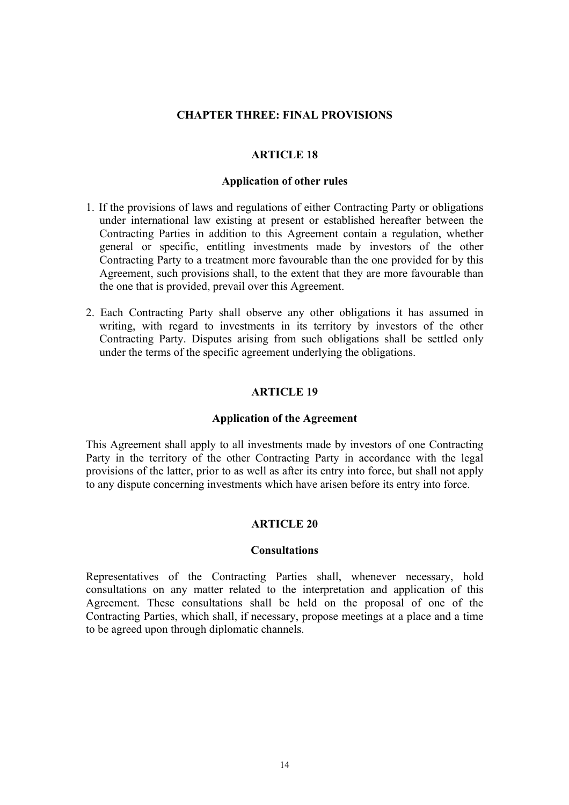## **CHAPTER THREE: FINAL PROVISIONS**

## **ARTICLE 18**

#### **Application of other rules**

- 1. If the provisions of laws and regulations of either Contracting Party or obligations under international law existing at present or established hereafter between the Contracting Parties in addition to this Agreement contain a regulation, whether general or specific, entitling investments made by investors of the other Contracting Party to a treatment more favourable than the one provided for by this Agreement, such provisions shall, to the extent that they are more favourable than the one that is provided, prevail over this Agreement.
- 2. Each Contracting Party shall observe any other obligations it has assumed in writing, with regard to investments in its territory by investors of the other Contracting Party. Disputes arising from such obligations shall be settled only under the terms of the specific agreement underlying the obligations.

## **ARTICLE 19**

#### **Application of the Agreement**

This Agreement shall apply to all investments made by investors of one Contracting Party in the territory of the other Contracting Party in accordance with the legal provisions of the latter, prior to as well as after its entry into force, but shall not apply to any dispute concerning investments which have arisen before its entry into force.

#### **ARTICLE 20**

#### **Consultations**

Representatives of the Contracting Parties shall, whenever necessary, hold consultations on any matter related to the interpretation and application of this Agreement. These consultations shall be held on the proposal of one of the Contracting Parties, which shall, if necessary, propose meetings at a place and a time to be agreed upon through diplomatic channels.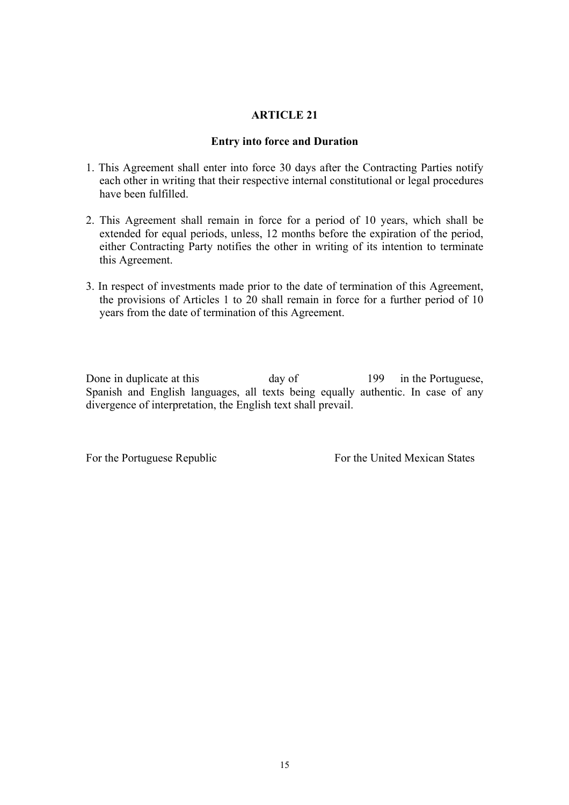## **Entry into force and Duration**

- 1. This Agreement shall enter into force 30 days after the Contracting Parties notify each other in writing that their respective internal constitutional or legal procedures have been fulfilled.
- 2. This Agreement shall remain in force for a period of 10 years, which shall be extended for equal periods, unless, 12 months before the expiration of the period, either Contracting Party notifies the other in writing of its intention to terminate this Agreement.
- 3. In respect of investments made prior to the date of termination of this Agreement, the provisions of Articles 1 to 20 shall remain in force for a further period of 10 years from the date of termination of this Agreement.

Done in duplicate at this day of 199 in the Portuguese, Spanish and English languages, all texts being equally authentic. In case of any divergence of interpretation, the English text shall prevail.

For the Portuguese Republic For the United Mexican States